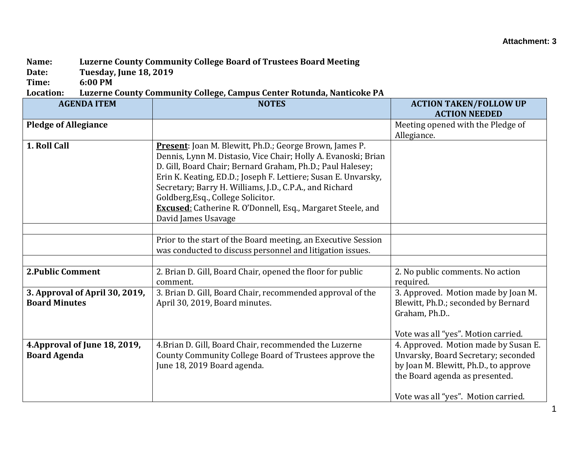## **Name: Luzerne County Community College Board of Trustees Board Meeting**

**Date: Tuesday, June 18, 2019**

**Time: 6:00 PM**

**Location: Luzerne County Community College, Campus Center Rotunda, Nanticoke PA**

| <b>AGENDA ITEM</b>                                     | <b>NOTES</b>                                                                                                                                                                                                                                                                                                                                                                                                                                            | <b>ACTION TAKEN/FOLLOW UP</b><br><b>ACTION NEEDED</b>                                                                                                                                         |
|--------------------------------------------------------|---------------------------------------------------------------------------------------------------------------------------------------------------------------------------------------------------------------------------------------------------------------------------------------------------------------------------------------------------------------------------------------------------------------------------------------------------------|-----------------------------------------------------------------------------------------------------------------------------------------------------------------------------------------------|
| <b>Pledge of Allegiance</b>                            |                                                                                                                                                                                                                                                                                                                                                                                                                                                         | Meeting opened with the Pledge of                                                                                                                                                             |
|                                                        |                                                                                                                                                                                                                                                                                                                                                                                                                                                         | Allegiance.                                                                                                                                                                                   |
| 1. Roll Call                                           | Present: Joan M. Blewitt, Ph.D.; George Brown, James P.<br>Dennis, Lynn M. Distasio, Vice Chair; Holly A. Evanoski; Brian<br>D. Gill, Board Chair; Bernard Graham, Ph.D.; Paul Halesey;<br>Erin K. Keating, ED.D.; Joseph F. Lettiere; Susan E. Unvarsky,<br>Secretary; Barry H. Williams, J.D., C.P.A., and Richard<br>Goldberg, Esq., College Solicitor.<br><b>Excused:</b> Catherine R. O'Donnell, Esq., Margaret Steele, and<br>David James Usavage |                                                                                                                                                                                               |
|                                                        |                                                                                                                                                                                                                                                                                                                                                                                                                                                         |                                                                                                                                                                                               |
|                                                        | Prior to the start of the Board meeting, an Executive Session<br>was conducted to discuss personnel and litigation issues.                                                                                                                                                                                                                                                                                                                              |                                                                                                                                                                                               |
|                                                        |                                                                                                                                                                                                                                                                                                                                                                                                                                                         |                                                                                                                                                                                               |
| <b>2. Public Comment</b>                               | 2. Brian D. Gill, Board Chair, opened the floor for public<br>comment.                                                                                                                                                                                                                                                                                                                                                                                  | 2. No public comments. No action<br>required.                                                                                                                                                 |
| 3. Approval of April 30, 2019,<br><b>Board Minutes</b> | 3. Brian D. Gill, Board Chair, recommended approval of the<br>April 30, 2019, Board minutes.                                                                                                                                                                                                                                                                                                                                                            | 3. Approved. Motion made by Joan M.<br>Blewitt, Ph.D.; seconded by Bernard<br>Graham, Ph.D<br>Vote was all "yes". Motion carried.                                                             |
| 4. Approval of June 18, 2019,<br><b>Board Agenda</b>   | 4. Brian D. Gill, Board Chair, recommended the Luzerne<br>County Community College Board of Trustees approve the<br>June 18, 2019 Board agenda.                                                                                                                                                                                                                                                                                                         | 4. Approved. Motion made by Susan E.<br>Unvarsky, Board Secretary; seconded<br>by Joan M. Blewitt, Ph.D., to approve<br>the Board agenda as presented.<br>Vote was all "yes". Motion carried. |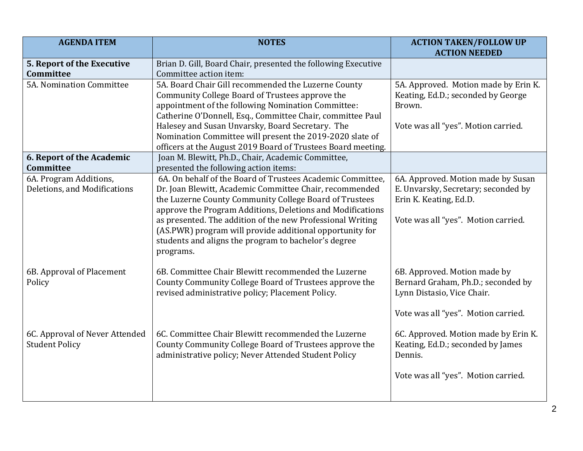| <b>AGENDA ITEM</b>             | <b>NOTES</b>                                                                                                     | <b>ACTION TAKEN/FOLLOW UP</b><br><b>ACTION NEEDED</b> |
|--------------------------------|------------------------------------------------------------------------------------------------------------------|-------------------------------------------------------|
| 5. Report of the Executive     | Brian D. Gill, Board Chair, presented the following Executive                                                    |                                                       |
| Committee                      | Committee action item:                                                                                           |                                                       |
| 5A. Nomination Committee       | 5A. Board Chair Gill recommended the Luzerne County                                                              | 5A. Approved. Motion made by Erin K.                  |
|                                | Community College Board of Trustees approve the                                                                  | Keating, Ed.D.; seconded by George                    |
|                                | appointment of the following Nomination Committee:                                                               | Brown.                                                |
|                                | Catherine O'Donnell, Esq., Committee Chair, committee Paul                                                       |                                                       |
|                                | Halesey and Susan Unvarsky, Board Secretary. The                                                                 | Vote was all "yes". Motion carried.                   |
|                                | Nomination Committee will present the 2019-2020 slate of                                                         |                                                       |
|                                | officers at the August 2019 Board of Trustees Board meeting.                                                     |                                                       |
| 6. Report of the Academic      | Joan M. Blewitt, Ph.D., Chair, Academic Committee,                                                               |                                                       |
| <b>Committee</b>               | presented the following action items:                                                                            |                                                       |
| 6A. Program Additions,         | 6A. On behalf of the Board of Trustees Academic Committee,                                                       | 6A. Approved. Motion made by Susan                    |
| Deletions, and Modifications   | Dr. Joan Blewitt, Academic Committee Chair, recommended                                                          | E. Unvarsky, Secretary; seconded by                   |
|                                | the Luzerne County Community College Board of Trustees                                                           | Erin K. Keating, Ed.D.                                |
|                                | approve the Program Additions, Deletions and Modifications                                                       |                                                       |
|                                | as presented. The addition of the new Professional Writing                                                       | Vote was all "yes". Motion carried.                   |
|                                | (AS.PWR) program will provide additional opportunity for<br>students and aligns the program to bachelor's degree |                                                       |
|                                | programs.                                                                                                        |                                                       |
|                                |                                                                                                                  |                                                       |
| 6B. Approval of Placement      | 6B. Committee Chair Blewitt recommended the Luzerne                                                              | 6B. Approved. Motion made by                          |
| Policy                         | County Community College Board of Trustees approve the                                                           | Bernard Graham, Ph.D.; seconded by                    |
|                                | revised administrative policy; Placement Policy.                                                                 | Lynn Distasio, Vice Chair.                            |
|                                |                                                                                                                  |                                                       |
|                                |                                                                                                                  | Vote was all "yes". Motion carried.                   |
|                                |                                                                                                                  |                                                       |
| 6C. Approval of Never Attended | 6C. Committee Chair Blewitt recommended the Luzerne                                                              | 6C. Approved. Motion made by Erin K.                  |
| <b>Student Policy</b>          | County Community College Board of Trustees approve the                                                           | Keating, Ed.D.; seconded by James                     |
|                                | administrative policy; Never Attended Student Policy                                                             | Dennis.                                               |
|                                |                                                                                                                  |                                                       |
|                                |                                                                                                                  | Vote was all "yes". Motion carried.                   |
|                                |                                                                                                                  |                                                       |
|                                |                                                                                                                  |                                                       |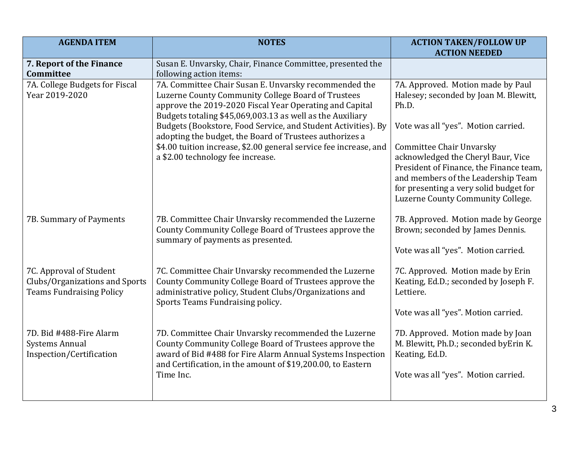| <b>AGENDA ITEM</b>                                                                           | <b>NOTES</b>                                                                                                                                                                                                                                             | <b>ACTION TAKEN/FOLLOW UP</b><br><b>ACTION NEEDED</b>                                                                                                                                                                                 |
|----------------------------------------------------------------------------------------------|----------------------------------------------------------------------------------------------------------------------------------------------------------------------------------------------------------------------------------------------------------|---------------------------------------------------------------------------------------------------------------------------------------------------------------------------------------------------------------------------------------|
| 7. Report of the Finance<br>Committee                                                        | Susan E. Unvarsky, Chair, Finance Committee, presented the<br>following action items:                                                                                                                                                                    |                                                                                                                                                                                                                                       |
| 7A. College Budgets for Fiscal<br>Year 2019-2020                                             | 7A. Committee Chair Susan E. Unvarsky recommended the<br>Luzerne County Community College Board of Trustees<br>approve the 2019-2020 Fiscal Year Operating and Capital<br>Budgets totaling \$45,069,003.13 as well as the Auxiliary                      | 7A. Approved. Motion made by Paul<br>Halesey; seconded by Joan M. Blewitt,<br>Ph.D.                                                                                                                                                   |
|                                                                                              | Budgets (Bookstore, Food Service, and Student Activities). By<br>adopting the budget, the Board of Trustees authorizes a                                                                                                                                 | Vote was all "yes". Motion carried.                                                                                                                                                                                                   |
|                                                                                              | \$4.00 tuition increase, \$2.00 general service fee increase, and<br>a \$2.00 technology fee increase.                                                                                                                                                   | <b>Committee Chair Unvarsky</b><br>acknowledged the Cheryl Baur, Vice<br>President of Finance, the Finance team,<br>and members of the Leadership Team<br>for presenting a very solid budget for<br>Luzerne County Community College. |
| 7B. Summary of Payments                                                                      | 7B. Committee Chair Unvarsky recommended the Luzerne<br>County Community College Board of Trustees approve the<br>summary of payments as presented.                                                                                                      | 7B. Approved. Motion made by George<br>Brown; seconded by James Dennis.                                                                                                                                                               |
|                                                                                              |                                                                                                                                                                                                                                                          | Vote was all "yes". Motion carried.                                                                                                                                                                                                   |
| 7C. Approval of Student<br>Clubs/Organizations and Sports<br><b>Teams Fundraising Policy</b> | 7C. Committee Chair Unvarsky recommended the Luzerne<br>County Community College Board of Trustees approve the<br>administrative policy, Student Clubs/Organizations and<br>Sports Teams Fundraising policy.                                             | 7C. Approved. Motion made by Erin<br>Keating, Ed.D.; seconded by Joseph F.<br>Lettiere.                                                                                                                                               |
|                                                                                              |                                                                                                                                                                                                                                                          | Vote was all "yes". Motion carried.                                                                                                                                                                                                   |
| 7D. Bid #488-Fire Alarm<br><b>Systems Annual</b><br>Inspection/Certification                 | 7D. Committee Chair Unvarsky recommended the Luzerne<br>County Community College Board of Trustees approve the<br>award of Bid #488 for Fire Alarm Annual Systems Inspection<br>and Certification, in the amount of \$19,200.00, to Eastern<br>Time Inc. | 7D. Approved. Motion made by Joan<br>M. Blewitt, Ph.D.; seconded byErin K.<br>Keating, Ed.D.<br>Vote was all "yes". Motion carried.                                                                                                   |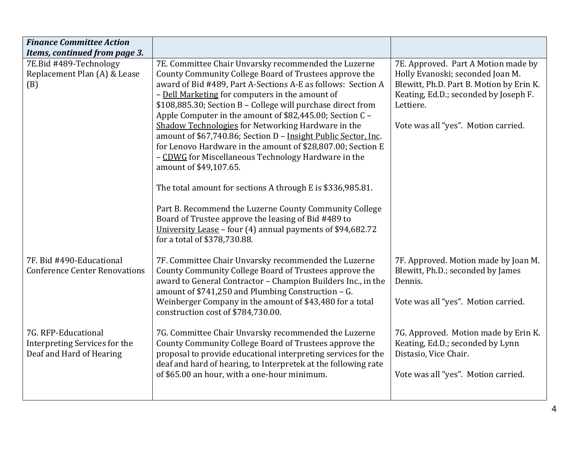| <b>Finance Committee Action</b>                                                  |                                                                                                                                                                                                                                                                                                                                                                                                                                                                                                                                                                                                                                      |                                                                                                                                                                                                                  |
|----------------------------------------------------------------------------------|--------------------------------------------------------------------------------------------------------------------------------------------------------------------------------------------------------------------------------------------------------------------------------------------------------------------------------------------------------------------------------------------------------------------------------------------------------------------------------------------------------------------------------------------------------------------------------------------------------------------------------------|------------------------------------------------------------------------------------------------------------------------------------------------------------------------------------------------------------------|
| Items, continued from page 3.                                                    |                                                                                                                                                                                                                                                                                                                                                                                                                                                                                                                                                                                                                                      |                                                                                                                                                                                                                  |
| 7E.Bid #489-Technology<br>Replacement Plan (A) & Lease<br>(B)                    | 7E. Committee Chair Unvarsky recommended the Luzerne<br>County Community College Board of Trustees approve the<br>award of Bid #489, Part A-Sections A-E as follows: Section A<br>- Dell Marketing for computers in the amount of<br>\$108,885.30; Section B - College will purchase direct from<br>Apple Computer in the amount of \$82,445.00; Section C -<br>Shadow Technologies for Networking Hardware in the<br>amount of \$67,740.86; Section D - Insight Public Sector, Inc.<br>for Lenovo Hardware in the amount of \$28,807.00; Section E<br>- CDWG for Miscellaneous Technology Hardware in the<br>amount of \$49,107.65. | 7E. Approved. Part A Motion made by<br>Holly Evanoski; seconded Joan M.<br>Blewitt, Ph.D. Part B. Motion by Erin K.<br>Keating, Ed.D.; seconded by Joseph F.<br>Lettiere.<br>Vote was all "yes". Motion carried. |
|                                                                                  | The total amount for sections A through E is \$336,985.81.<br>Part B. Recommend the Luzerne County Community College<br>Board of Trustee approve the leasing of Bid #489 to<br>University Lease - four (4) annual payments of \$94,682.72<br>for a total of \$378,730.88.                                                                                                                                                                                                                                                                                                                                                            |                                                                                                                                                                                                                  |
| 7F. Bid #490-Educational<br><b>Conference Center Renovations</b>                 | 7F. Committee Chair Unvarsky recommended the Luzerne<br>County Community College Board of Trustees approve the<br>award to General Contractor - Champion Builders Inc., in the<br>amount of \$741,250 and Plumbing Construction - G.<br>Weinberger Company in the amount of \$43,480 for a total<br>construction cost of \$784,730.00.                                                                                                                                                                                                                                                                                               | 7F. Approved. Motion made by Joan M.<br>Blewitt, Ph.D.; seconded by James<br>Dennis.<br>Vote was all "yes". Motion carried.                                                                                      |
| 7G. RFP-Educational<br>Interpreting Services for the<br>Deaf and Hard of Hearing | 7G. Committee Chair Unvarsky recommended the Luzerne<br>County Community College Board of Trustees approve the<br>proposal to provide educational interpreting services for the<br>deaf and hard of hearing, to Interpretek at the following rate<br>of \$65.00 an hour, with a one-hour minimum.                                                                                                                                                                                                                                                                                                                                    | 7G. Approved. Motion made by Erin K.<br>Keating, Ed.D.; seconded by Lynn<br>Distasio, Vice Chair.<br>Vote was all "yes". Motion carried.                                                                         |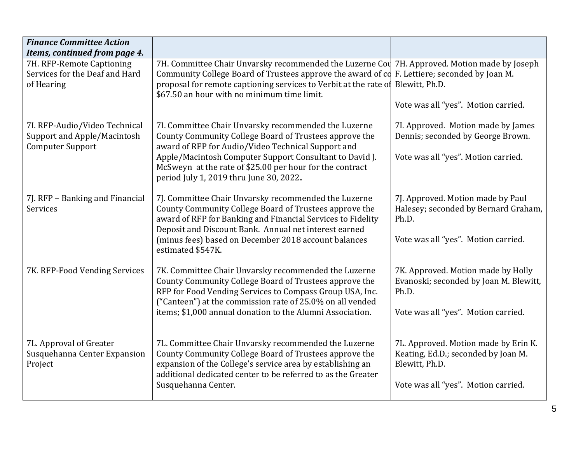| <b>Finance Committee Action</b>                                                         |                                                                                                                                                                                                                                                                                                                                        |                                                                                                                                      |
|-----------------------------------------------------------------------------------------|----------------------------------------------------------------------------------------------------------------------------------------------------------------------------------------------------------------------------------------------------------------------------------------------------------------------------------------|--------------------------------------------------------------------------------------------------------------------------------------|
| Items, continued from page 4.                                                           |                                                                                                                                                                                                                                                                                                                                        |                                                                                                                                      |
| 7H. RFP-Remote Captioning<br>Services for the Deaf and Hard<br>of Hearing               | 7H. Committee Chair Unvarsky recommended the Luzerne Cou 7H. Approved. Motion made by Joseph<br>Community College Board of Trustees approve the award of cd F. Lettiere; seconded by Joan M.<br>proposal for remote captioning services to Verbit at the rate of Blewitt, Ph.D.<br>\$67.50 an hour with no minimum time limit.         | Vote was all "yes". Motion carried.                                                                                                  |
| 7I. RFP-Audio/Video Technical<br>Support and Apple/Macintosh<br><b>Computer Support</b> | 7I. Committee Chair Unvarsky recommended the Luzerne<br>County Community College Board of Trustees approve the<br>award of RFP for Audio/Video Technical Support and<br>Apple/Macintosh Computer Support Consultant to David J.<br>McSweyn at the rate of \$25.00 per hour for the contract<br>period July 1, 2019 thru June 30, 2022. | 7I. Approved. Motion made by James<br>Dennis; seconded by George Brown.<br>Vote was all "yes". Motion carried.                       |
| 7J. RFP - Banking and Financial<br>Services                                             | 7J. Committee Chair Unvarsky recommended the Luzerne<br>County Community College Board of Trustees approve the<br>award of RFP for Banking and Financial Services to Fidelity<br>Deposit and Discount Bank. Annual net interest earned<br>(minus fees) based on December 2018 account balances<br>estimated \$547K.                    | 7J. Approved. Motion made by Paul<br>Halesey; seconded by Bernard Graham,<br>Ph.D.<br>Vote was all "yes". Motion carried.            |
| 7K. RFP-Food Vending Services                                                           | 7K. Committee Chair Unvarsky recommended the Luzerne<br>County Community College Board of Trustees approve the<br>RFP for Food Vending Services to Compass Group USA, Inc.<br>("Canteen") at the commission rate of 25.0% on all vended<br>items; \$1,000 annual donation to the Alumni Association.                                   | 7K. Approved. Motion made by Holly<br>Evanoski; seconded by Joan M. Blewitt,<br>Ph.D.<br>Vote was all "yes". Motion carried.         |
| 7L. Approval of Greater<br>Susquehanna Center Expansion<br>Project                      | 7L. Committee Chair Unvarsky recommended the Luzerne<br>County Community College Board of Trustees approve the<br>expansion of the College's service area by establishing an<br>additional dedicated center to be referred to as the Greater<br>Susquehanna Center.                                                                    | 7L. Approved. Motion made by Erin K.<br>Keating, Ed.D.; seconded by Joan M.<br>Blewitt, Ph.D.<br>Vote was all "yes". Motion carried. |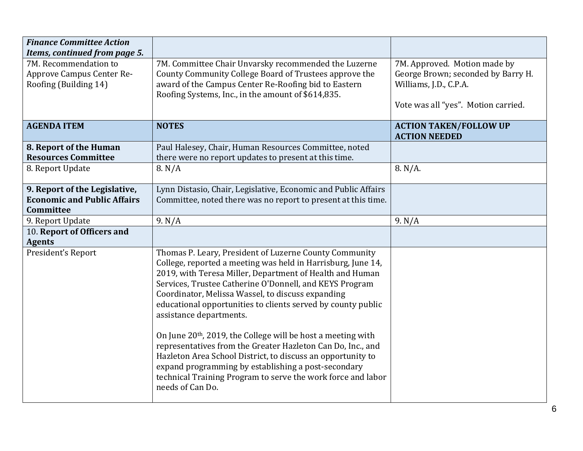| <b>Finance Committee Action</b>                                                                              |                                                                                                                                                                                                                                                                                                                                                                                                                                                                                                                                                                                                                                                                                                                                                    |                                                                                                                                     |
|--------------------------------------------------------------------------------------------------------------|----------------------------------------------------------------------------------------------------------------------------------------------------------------------------------------------------------------------------------------------------------------------------------------------------------------------------------------------------------------------------------------------------------------------------------------------------------------------------------------------------------------------------------------------------------------------------------------------------------------------------------------------------------------------------------------------------------------------------------------------------|-------------------------------------------------------------------------------------------------------------------------------------|
| Items, continued from page 5.<br>7M. Recommendation to<br>Approve Campus Center Re-<br>Roofing (Building 14) | 7M. Committee Chair Unvarsky recommended the Luzerne<br>County Community College Board of Trustees approve the<br>award of the Campus Center Re-Roofing bid to Eastern<br>Roofing Systems, Inc., in the amount of \$614,835.                                                                                                                                                                                                                                                                                                                                                                                                                                                                                                                       | 7M. Approved. Motion made by<br>George Brown; seconded by Barry H.<br>Williams, J.D., C.P.A.<br>Vote was all "yes". Motion carried. |
| <b>AGENDA ITEM</b>                                                                                           | <b>NOTES</b>                                                                                                                                                                                                                                                                                                                                                                                                                                                                                                                                                                                                                                                                                                                                       | <b>ACTION TAKEN/FOLLOW UP</b><br><b>ACTION NEEDED</b>                                                                               |
| 8. Report of the Human<br><b>Resources Committee</b>                                                         | Paul Halesey, Chair, Human Resources Committee, noted<br>there were no report updates to present at this time.                                                                                                                                                                                                                                                                                                                                                                                                                                                                                                                                                                                                                                     |                                                                                                                                     |
| 8. Report Update                                                                                             | 8. N/A                                                                                                                                                                                                                                                                                                                                                                                                                                                                                                                                                                                                                                                                                                                                             | 8. N/A.                                                                                                                             |
| 9. Report of the Legislative,<br><b>Economic and Public Affairs</b><br>Committee                             | Lynn Distasio, Chair, Legislative, Economic and Public Affairs<br>Committee, noted there was no report to present at this time.                                                                                                                                                                                                                                                                                                                                                                                                                                                                                                                                                                                                                    |                                                                                                                                     |
| 9. Report Update                                                                                             | 9. N/A                                                                                                                                                                                                                                                                                                                                                                                                                                                                                                                                                                                                                                                                                                                                             | 9. N/A                                                                                                                              |
| 10. Report of Officers and<br><b>Agents</b>                                                                  |                                                                                                                                                                                                                                                                                                                                                                                                                                                                                                                                                                                                                                                                                                                                                    |                                                                                                                                     |
| President's Report                                                                                           | Thomas P. Leary, President of Luzerne County Community<br>College, reported a meeting was held in Harrisburg, June 14,<br>2019, with Teresa Miller, Department of Health and Human<br>Services, Trustee Catherine O'Donnell, and KEYS Program<br>Coordinator, Melissa Wassel, to discuss expanding<br>educational opportunities to clients served by county public<br>assistance departments.<br>On June 20 <sup>th</sup> , 2019, the College will be host a meeting with<br>representatives from the Greater Hazleton Can Do, Inc., and<br>Hazleton Area School District, to discuss an opportunity to<br>expand programming by establishing a post-secondary<br>technical Training Program to serve the work force and labor<br>needs of Can Do. |                                                                                                                                     |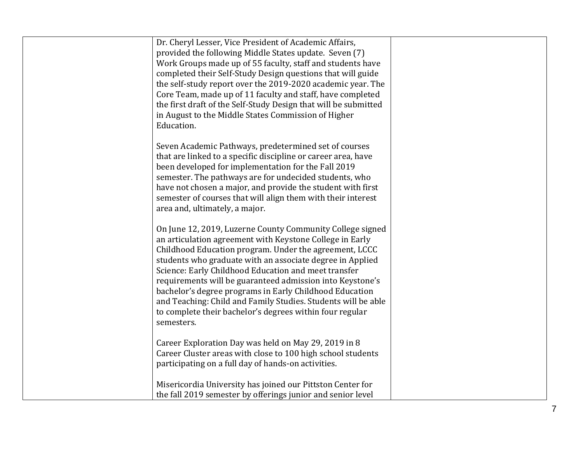| Dr. Cheryl Lesser, Vice President of Academic Affairs,<br>provided the following Middle States update. Seven (7)<br>Work Groups made up of 55 faculty, staff and students have<br>completed their Self-Study Design questions that will guide<br>the self-study report over the 2019-2020 academic year. The<br>Core Team, made up of 11 faculty and staff, have completed<br>the first draft of the Self-Study Design that will be submitted<br>in August to the Middle States Commission of Higher<br>Education.                                                      |  |
|-------------------------------------------------------------------------------------------------------------------------------------------------------------------------------------------------------------------------------------------------------------------------------------------------------------------------------------------------------------------------------------------------------------------------------------------------------------------------------------------------------------------------------------------------------------------------|--|
| Seven Academic Pathways, predetermined set of courses<br>that are linked to a specific discipline or career area, have<br>been developed for implementation for the Fall 2019<br>semester. The pathways are for undecided students, who<br>have not chosen a major, and provide the student with first<br>semester of courses that will align them with their interest<br>area and, ultimately, a major.                                                                                                                                                                |  |
| On June 12, 2019, Luzerne County Community College signed<br>an articulation agreement with Keystone College in Early<br>Childhood Education program. Under the agreement, LCCC<br>students who graduate with an associate degree in Applied<br>Science: Early Childhood Education and meet transfer<br>requirements will be guaranteed admission into Keystone's<br>bachelor's degree programs in Early Childhood Education<br>and Teaching: Child and Family Studies. Students will be able<br>to complete their bachelor's degrees within four regular<br>semesters. |  |
| Career Exploration Day was held on May 29, 2019 in 8<br>Career Cluster areas with close to 100 high school students<br>participating on a full day of hands-on activities.                                                                                                                                                                                                                                                                                                                                                                                              |  |
| Misericordia University has joined our Pittston Center for<br>the fall 2019 semester by offerings junior and senior level                                                                                                                                                                                                                                                                                                                                                                                                                                               |  |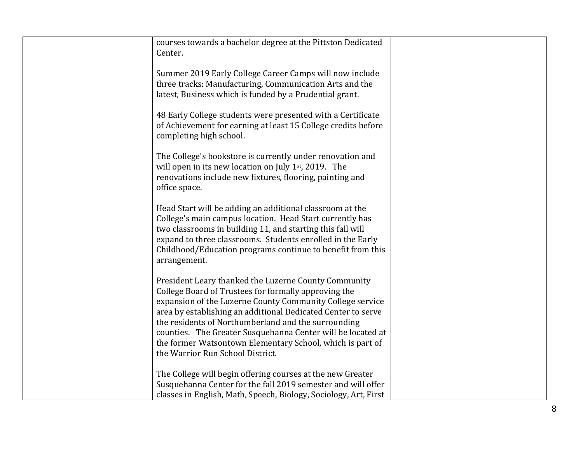| courses towards a bachelor degree at the Pittston Dedicated                                                            |  |
|------------------------------------------------------------------------------------------------------------------------|--|
| Center.                                                                                                                |  |
| Summer 2019 Early College Career Camps will now include                                                                |  |
| three tracks: Manufacturing, Communication Arts and the<br>latest, Business which is funded by a Prudential grant.     |  |
|                                                                                                                        |  |
| 48 Early College students were presented with a Certificate                                                            |  |
| of Achievement for earning at least 15 College credits before<br>completing high school.                               |  |
|                                                                                                                        |  |
| The College's bookstore is currently under renovation and<br>will open in its new location on July $1st$ , 2019. The   |  |
| renovations include new fixtures, flooring, painting and                                                               |  |
| office space.                                                                                                          |  |
| Head Start will be adding an additional classroom at the                                                               |  |
| College's main campus location. Head Start currently has<br>two classrooms in building 11, and starting this fall will |  |
| expand to three classrooms. Students enrolled in the Early                                                             |  |
| Childhood/Education programs continue to benefit from this<br>arrangement.                                             |  |
|                                                                                                                        |  |
| President Leary thanked the Luzerne County Community                                                                   |  |
| College Board of Trustees for formally approving the<br>expansion of the Luzerne County Community College service      |  |
| area by establishing an additional Dedicated Center to serve                                                           |  |
| the residents of Northumberland and the surrounding<br>counties. The Greater Susquehanna Center will be located at     |  |
| the former Watsontown Elementary School, which is part of                                                              |  |
| the Warrior Run School District.                                                                                       |  |
| The College will begin offering courses at the new Greater                                                             |  |
| Susquehanna Center for the fall 2019 semester and will offer                                                           |  |
| classes in English, Math, Speech, Biology, Sociology, Art, First                                                       |  |